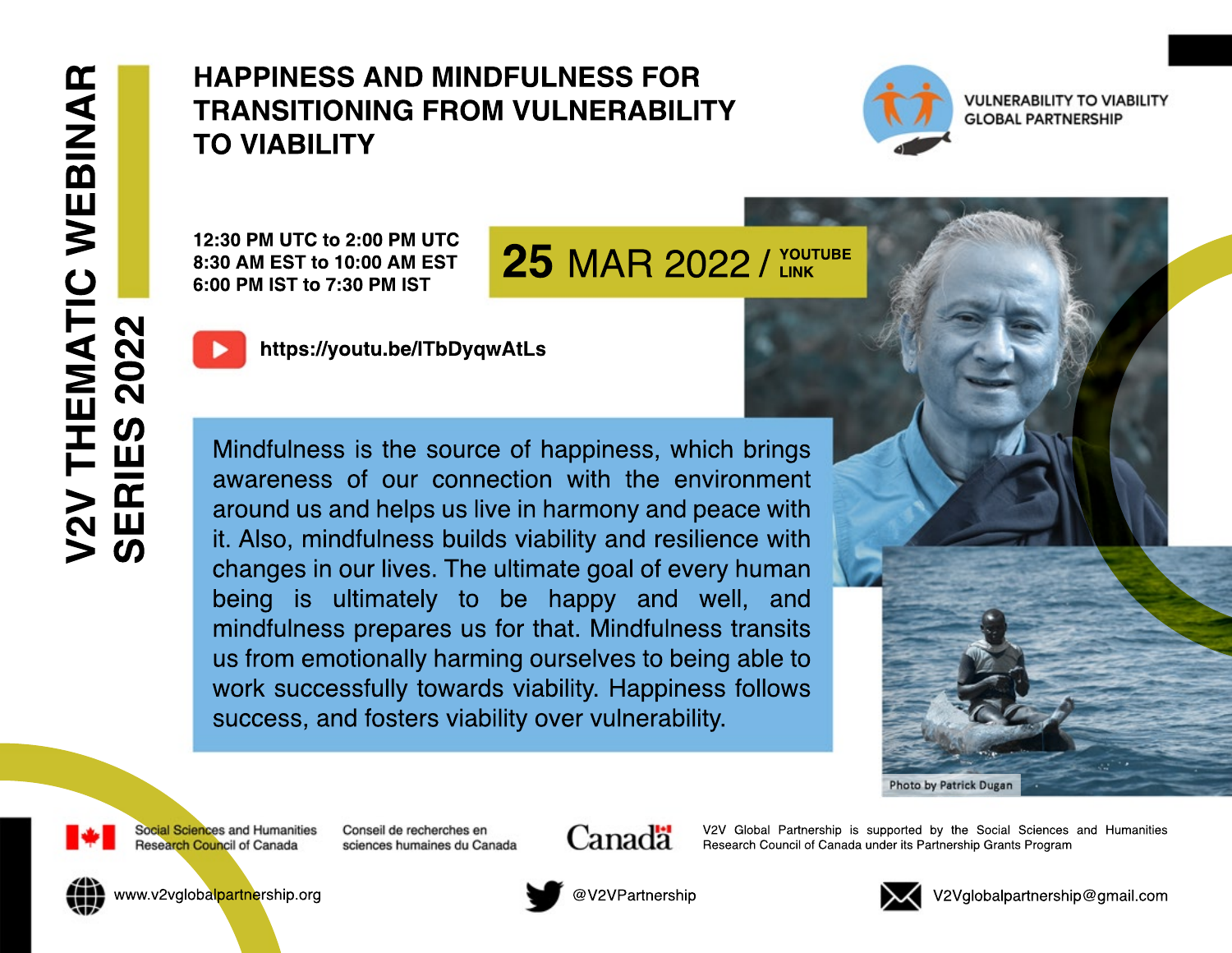## **HAPPINESS AND MINDFULNESS FOR TRANSITIONING FROM VULNERABILITY TO VIABILITY**



**VULNERABILITY TO VIABILITY GLOBAL PARTNERSHIP** 

12:30 PM UTC to 2:00 PM UTC 8:30 AM EST to 10:00 AM EST 6:00 PM IST to 7:30 PM IST

## **25 MAR 2022 / YOUTUBE**



https://youtu.be/ITbDyqwAtLs

Mindfulness is the source of happiness, which brings awareness of our connection with the environment around us and helps us live in harmony and peace with it. Also, mindfulness builds viability and resilience with changes in our lives. The ultimate goal of every human being is ultimately to be happy and well, and mindfulness prepares us for that. Mindfulness transits us from emotionally harming ourselves to being able to work successfully towards viability. Happiness follows success, and fosters viability over vulnerability.





Social Sciences and Humanities **Research Council of Canada** 

Conseil de recherches en sciences humaines du Canada



V2V Global Partnership is supported by the Social Sciences and Humanities Research Council of Canada under its Partnership Grants Program



www.v2vglobalpartnership.org



@V2VPartnership



V2Vglobalpartnership@gmail.com